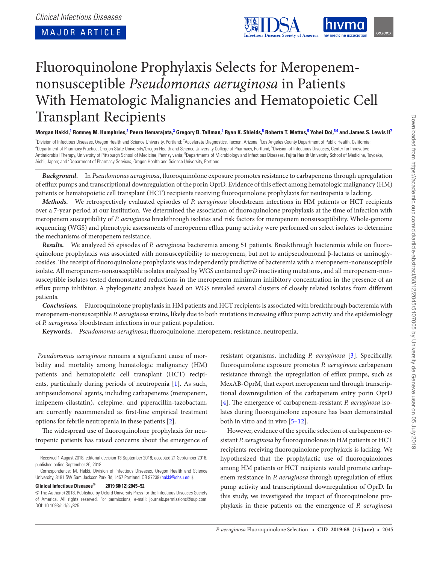MAJOR ARTICLE



# Fluoroquinolone Prophylaxis Selects for Meropenemnonsusceptible *Pseudomonas aeruginosa* in Patients With Hematologic Malignancies and Hematopoietic Cell Transplant Recipients

Morgan Hakki,<sup>1</sup> Romney M. Humphries,<sup>2</sup> Peera Hemarajata,<sup>3</sup> Gregory B. Tallman,<sup>4</sup> Ryan K. Shields,<sup>5</sup> Roberta T. Mettus,<sup>5</sup> Yohei Doi,<sup>5,6</sup> and James S. Lewis II<sup>7</sup>

<sup>1</sup>Division of Infectious Diseases, Oregon Health and Science University, Portland; <sup>2</sup>Accelerate Diagnostics, Tucson, Arizona; <sup>3</sup> 'Division of Infectious Diseases, Oregon Health and Science University, Portland; "Accelerate Diagnostics, Tucson, Arizona; <sup>3</sup>Los Angeles County Department of Public Health, California;<br><sup>4</sup>Department of Pharmacy Practice, Antimicrobial Therapy, University of Pittsburgh School of Medicine, Pennsylvania; <sup>6</sup>Departments of Microbiology and Infectious Diseases, Fujita Health University School of Medicine, Toyoake, Aichi, Japan; and <sup>7</sup>Department of Pharmacy Services, Oregon Health and Science University, Portland

*Background.* In *Pseudomonas aeruginosa*, fluoroquinolone exposure promotes resistance to carbapenems through upregulation of efflux pumps and transcriptional downregulation of the porin OprD. Evidence of this effect among hematologic malignancy (HM) patients or hematopoietic cell transplant (HCT) recipients receiving fluoroquinolone prophylaxis for neutropenia is lacking.

*Methods.* We retrospectively evaluated episodes of *P. aeruginosa* bloodstream infections in HM patients or HCT recipients over a 7-year period at our institution. We determined the association of fluoroquinolone prophylaxis at the time of infection with meropenem susceptibility of *P. aeruginosa* breakthrough isolates and risk factors for meropenem nonsusceptibility. Whole-genome sequencing (WGS) and phenotypic assessments of meropenem efflux pump activity were performed on select isolates to determine the mechanisms of meropenem resistance.

*Results.* We analyzed 55 episodes of *P. aeruginosa* bacteremia among 51 patients. Breakthrough bacteremia while on fluoroquinolone prophylaxis was associated with nonsusceptibility to meropenem, but not to antipseudomonal β-lactams or aminoglycosides. The receipt of fluoroquinolone prophylaxis was independently predictive of bacteremia with a meropenem-nonsusceptible isolate. All meropenem-nonsusceptible isolates analyzed by WGS contained *oprD* inactivating mutations, and all meropenem-nonsusceptible isolates tested demonstrated reductions in the meropenem minimum inhibitory concentration in the presence of an efflux pump inhibitor. A phylogenetic analysis based on WGS revealed several clusters of closely related isolates from different patients.

*Conclusions.* Fluoroquinolone prophylaxis in HM patients and HCT recipients is associated with breakthrough bacteremia with meropenem-nonsusceptible *P. aeruginosa* strains, likely due to both mutations increasing efflux pump activity and the epidemiology of *P. aeruginosa* bloodstream infections in our patient population.

**Keywords.** *Pseudomonas aeruginosa*; fluoroquinolone; meropenem; resistance; neutropenia.

*Pseudomonas aeruginosa* remains a significant cause of morbidity and mortality among hematologic malignancy (HM) patients and hematopoietic cell transplant (HCT) recipients, particularly during periods of neutropenia [1]. As such, antipseudomonal agents, including carbapenems (meropenem, imipenem-cilastatin), cefepime, and piperacillin-tazobactam, are currently recommended as first-line empirical treatment options for febrile neutropenia in these patients [2].

The widespread use of fluoroquinolone prophylaxis for neutropenic patients has raised concerns about the emergence of

Received 1 August 2018; editorial decision 13 September 2018; accepted 21 September 2018; published online September 26, 2018.

## **Clinical Infectious Diseases® 2019;68(12):2045–52**

resistant organisms, including *P. aeruginosa* [3]. Specifically, fluoroquinolone exposure promotes *P. aeruginosa* carbapenem resistance through the upregulation of efflux pumps, such as MexAB-OprM, that export meropenem and through transcriptional downregulation of the carbapenem entry porin OprD [4]. The emergence of carbapenem-resistant *P. aeruginosa* isolates during fluoroquinolone exposure has been demonstrated both in vitro and in vivo [5–12].

However, evidence of the specific selection of carbapenem-resistant *P. aeruginosa* by fluoroquinolones in HM patients or HCT recipients receiving fluoroquinolone prophylaxis is lacking. We hypothesized that the prophylactic use of fluoroquinolones among HM patients or HCT recipients would promote carbapenem resistance in *P. aeruginosa* through upregulation of efflux pump activity and transcriptional downregulation of OprD. In this study, we investigated the impact of fluoroquinolone prophylaxis in these patients on the emergence of *P. aeruginosa*

Correspondence: M. Hakki, Division of Infectious Diseases, Oregon Health and Science University, 3181 SW Sam Jackson Park Rd, L457 Portland, OR 97239 (hakki@ohsu.edu).

<sup>©</sup> The Author(s) 2018. Published by Oxford University Press for the Infectious Diseases Society of America. All rights reserved. For permissions, e-mail: journals.permissions@oup.com. DOI: 10.1093/cid/ciy825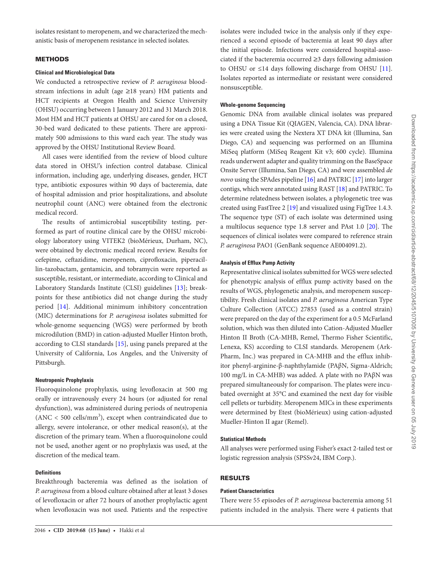isolates resistant to meropenem, and we characterized the mechanistic basis of meropenem resistance in selected isolates.

## **METHODS**

#### **Clinical and Microbiological Data**

We conducted a retrospective review of *P. aeruginosa* bloodstream infections in adult (age ≥18 years) HM patients and HCT recipients at Oregon Health and Science University (OHSU) occurring between 1 January 2012 and 31 March 2018. Most HM and HCT patients at OHSU are cared for on a closed, 30-bed ward dedicated to these patients. There are approximately 500 admissions to this ward each year. The study was approved by the OHSU Institutional Review Board.

All cases were identified from the review of blood culture data stored in OHSU's infection control database. Clinical information, including age, underlying diseases, gender, HCT type, antibiotic exposures within 90 days of bacteremia, date of hospital admission and prior hospitalizations, and absolute neutrophil count (ANC) were obtained from the electronic medical record.

The results of antimicrobial susceptibility testing, performed as part of routine clinical care by the OHSU microbiology laboratory using VITEK2 (bioMérieux, Durham, NC), were obtained by electronic medical record review. Results for cefepime, ceftazidime, meropenem, ciprofloxacin, piperacillin-tazobactam, gentamicin, and tobramycin were reported as susceptible, resistant, or intermediate, according to Clinical and Laboratory Standards Institute (CLSI) guidelines [13]; breakpoints for these antibiotics did not change during the study period [14]. Additional minimum inhibitory concentration (MIC) determinations for *P. aeruginosa* isolates submitted for whole-genome sequencing (WGS) were performed by broth microdilution (BMD) in cation-adjusted Mueller Hinton broth, according to CLSI standards [15], using panels prepared at the University of California, Los Angeles, and the University of Pittsburgh.

## **Neutropenic Prophylaxis**

Fluoroquinolone prophylaxis, using levofloxacin at 500 mg orally or intravenously every 24 hours (or adjusted for renal dysfunction), was administered during periods of neutropenia  $(ANC < 500$  cells/mm<sup>3</sup>), except when contraindicated due to allergy, severe intolerance, or other medical reason(s), at the discretion of the primary team. When a fluoroquinolone could not be used, another agent or no prophylaxis was used, at the discretion of the medical team.

## **Definitions**

Breakthrough bacteremia was defined as the isolation of *P. aeruginosa* from a blood culture obtained after at least 3 doses of levofloxacin or after 72 hours of another prophylactic agent when levofloxacin was not used. Patients and the respective

isolates were included twice in the analysis only if they experienced a second episode of bacteremia at least 90 days after the initial episode. Infections were considered hospital-associated if the bacteremia occurred ≥3 days following admission to OHSU or ≤14 days following discharge from OHSU [11]. Isolates reported as intermediate or resistant were considered nonsusceptible.

## **Whole-genome Sequencing**

Genomic DNA from available clinical isolates was prepared using a DNA Tissue Kit (QIAGEN, Valencia, CA). DNA libraries were created using the Nextera XT DNA kit (Illumina, San Diego, CA) and sequencing was performed on an Illumina MiSeq platform (MiSeq Reagent Kit v3; 600 cycle). Illumina reads underwent adapter and quality trimming on the BaseSpace Onsite Server (Illumina, San Diego, CA) and were assembled *de novo* using the SPAdes pipeline [16] and PATRIC [17] into larger contigs, which were annotated using RAST [18] and PATRIC. To determine relatedness between isolates, a phylogenetic tree was created using FastTree 2 [19] and visualized using FigTree 1.4.3. The sequence type (ST) of each isolate was determined using a multilocus sequence type 1.8 server and PAst 1.0 [20]. The sequences of clinical isolates were compared to reference strain *P. aeruginosa* PAO1 (GenBank sequence AE004091.2).

#### **Analysis of Efflux Pump Activity**

Representative clinical isolates submitted for WGS were selected for phenotypic analysis of efflux pump activity based on the results of WGS, phylogenetic analysis, and meropenem susceptibility. Fresh clinical isolates and *P. aeruginosa* American Type Culture Collection (ATCC) 27853 (used as a control strain) were prepared on the day of the experiment for a 0.5 McFarland solution, which was then diluted into Cation-Adjusted Mueller Hinton II Broth (CA-MHB, Remel, Thermo Fisher Scientific, Lenexa, KS) according to CLSI standards. Meropenem (Ark-Pharm, Inc.) was prepared in CA-MHB and the efflux inhibitor phenyl-arginine-β-naphthylamide (PAβN, Sigma-Aldrich; 100 mg/L in CA-MHB) was added. A plate with no PAβN was prepared simultaneously for comparison. The plates were incubated overnight at 35°C and examined the next day for visible cell pellets or turbidity. Meropenem MICs in these experiments were determined by Etest (bioMérieux) using cation-adjusted Mueller-Hinton II agar (Remel).

#### **Statistical Methods**

All analyses were performed using Fisher's exact 2-tailed test or logistic regression analysis (SPSSv24, IBM Corp.).

# RESULTS

## **Patient Characteristics**

There were 55 episodes of *P. aeruginosa* bacteremia among 51 patients included in the analysis. There were 4 patients that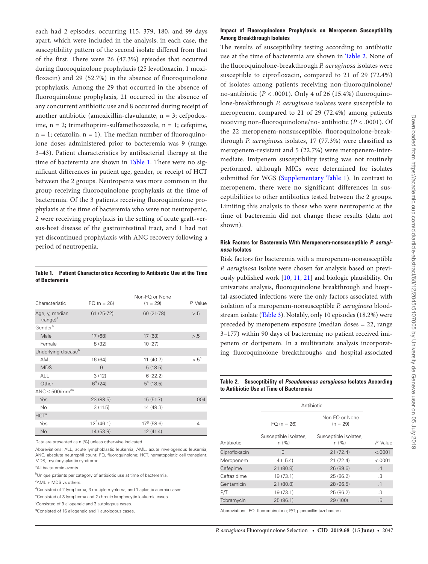each had 2 episodes, occurring 115, 379, 180, and 99 days apart, which were included in the analysis; in each case, the susceptibility pattern of the second isolate differed from that of the first. There were 26 (47.3%) episodes that occurred during fluoroquinolone prophylaxis (25 levofloxacin, 1 moxifloxacin) and 29 (52.7%) in the absence of fluoroquinolone prophylaxis. Among the 29 that occurred in the absence of fluoroquinolone prophylaxis, 21 occurred in the absence of any concurrent antibiotic use and 8 occurred during receipt of another antibiotic (amoxicillin-clavulanate, n = 3; cefpodoxime, n = 2; trimethoprim-sulfamethoxazole, n = 1; cefepime,  $n = 1$ ; cefazolin,  $n = 1$ ). The median number of fluoroquinolone doses administered prior to bacteremia was 9 (range, 3–43). Patient characteristics by antibacterial therapy at the time of bacteremia are shown in Table 1. There were no significant differences in patient age, gender, or receipt of HCT between the 2 groups. Neutropenia was more common in the group receiving fluoroquinolone prophylaxis at the time of bacteremia. Of the 3 patients receiving fluoroquinolone prophylaxis at the time of bacteremia who were not neutropenic, 2 were receiving prophylaxis in the setting of acute graft-versus-host disease of the gastrointestinal tract, and 1 had not yet discontinued prophylaxis with ANC recovery following a period of neutropenia.

#### **Table 1. Patient Characteristics According to Antibiotic Use at the Time of Bacteremia**

| Characteristic                         | $FO (n = 26)$            | Non-FQ or None<br>$(n = 29)$ | $P$ Value       |
|----------------------------------------|--------------------------|------------------------------|-----------------|
| Age, y, median<br>(range) <sup>a</sup> | $61(25-72)$              | 60 (21-78)                   | > 0.5           |
| Gender <sup>b</sup>                    |                          |                              |                 |
| Male                                   | 17 (68)                  | 17 (63)                      | > 0.5           |
| Female                                 | 8 (32)                   | 10(27)                       |                 |
| Underlying disease <sup>b</sup>        |                          |                              |                 |
| AML                                    | 16 (64)                  | 11(40.7)                     | $> 0.5^{\circ}$ |
| <b>MDS</b>                             | $\Omega$                 | 5(18.5)                      |                 |
| <b>ALL</b>                             | 3(12)                    | 6(22.2)                      |                 |
| Other                                  | $6^{d}$ (24)             | $5^e$ (18.5)                 |                 |
| ANC $\leq 500/mm^{3a}$                 |                          |                              |                 |
| Yes                                    | 23 (88.5)                | 15(51.7)                     | .004            |
| No                                     | 3(11.5)                  | 14 (48.3)                    |                 |
| $HCT^a$                                |                          |                              |                 |
| Yes                                    | $12^{\mathrm{f}}$ (46.1) | $179$ (58.6)                 | $\cdot$         |
| <b>No</b>                              | 14 (53.9)                | 12(41.4)                     |                 |

Data are presented as n (%) unless otherwise indicated.

Abbreviations: ALL, acute lymphoblastic leukemia; AML, acute myelogenous leukemia; ANC, absolute neutrophil count; FQ, fluoroquinolone; HCT, hematopoietic cell transplant; MDS, myelodysplastic syndrome.

<sup>a</sup>All bacteremic events.

<sup>b</sup>Unique patients per category of antibiotic use at time of bacteremia.

c AML + MDS vs others.

<sup>d</sup>Consisted of 2 lymphoma, 3 mutiple myeloma, and 1 aplastic anemia cases.

<sup>e</sup>Consisted of 3 lymphoma and 2 chronic lymphocytic leukemia cases.

f Consisted of 9 allogeneic and 3 autologous cases.

<sup>9</sup> Consisted of 16 allogeneic and 1 autologous cases.

#### **Impact of Fluoroquinolone Prophylaxis on Meropenem Susceptibility Among Breakthrough Isolates**

The results of susceptibility testing according to antibiotic use at the time of bacteremia are shown in Table 2. None of the fluoroquinolone-breakthrough *P. aeruginosa* isolates were susceptible to ciprofloxacin, compared to 21 of 29 (72.4%) of isolates among patients receiving non-fluoroquinolone/ no-antibiotic (*P* < .0001). Only 4 of 26 (15.4%) fluoroquinolone-breakthrough *P. aeruginosa* isolates were susceptible to meropenem, compared to 21 of 29 (72.4%) among patients receiving non-fluoroquinolone/no- antibiotic (*P* < .0001). Of the 22 meropenem-nonsusceptible, fluoroquinolone-breakthrough *P. aeruginosa* isolates, 17 (77.3%) were classified as meropenem-resistant and 5 (22.7%) were meropenem-intermediate. Imipenem susceptibility testing was not routinely performed, although MICs were determined for isolates submitted for WGS (Supplementary Table 1). In contrast to meropenem, there were no significant differences in susceptibilities to other antibiotics tested between the 2 groups. Limiting this analysis to those who were neutropenic at the time of bacteremia did not change these results (data not shown).

### **Risk Factors for Bacteremia With Meropenem-nonsusceptible** *P. aeruginosa* **Isolates**

Risk factors for bacteremia with a meropenem-nonsusceptible *P. aeruginosa* isolate were chosen for analysis based on previously published work [10, 11, 21] and biologic plausibility. On univariate analysis, fluoroquinolone breakthrough and hospital-associated infections were the only factors associated with isolation of a meropenem-nonsusceptible *P. aeruginosa* bloodstream isolate (Table 3). Notably, only 10 episodes (18.2%) were preceded by meropenem exposure (median doses = 22, range 3–177) within 90 days of bacteremia; no patient received imipenem or doripenem. In a multivariate analysis incorporating fluoroquinolone breakthroughs and hospital-associated

### **Table 2. Susceptibility of** *Pseudomonas aeruginosa* **Isolates According to Antibiotic Use at Time of Bacteremia**

|               | Antibiotic                     |                               |           |  |
|---------------|--------------------------------|-------------------------------|-----------|--|
|               | $FO (n = 26)$                  | Non-FO or None<br>$(n = 29)$  |           |  |
| Antibiotic    | Susceptible isolates,<br>n (%) | Susceptible isolates,<br>n(%) | $P$ Value |  |
| Ciprofloxacin | $\Omega$                       | 21(72.4)                      | < .0001   |  |
| Meropenem     | 4(15.4)                        | 21(72.4)                      | < .0001   |  |
| Cefepime      | 21 (80.8)                      | 26 (89.6)                     | .4        |  |
| Ceftazidime   | 19 (73.1)                      | 25 (86.2)                     | .3        |  |
| Gentamicin    | 21 (80.8)                      | 28 (96.5)                     | .1        |  |
| PЛ            | 19 (73.1)                      | 25 (86.2)                     | .3        |  |
| Tobramycin    | 25(96.1)                       | 29 (100)                      | .5        |  |

Abbreviations: FQ, fluoroquinolone; P/T, piperacillin-tazobactam.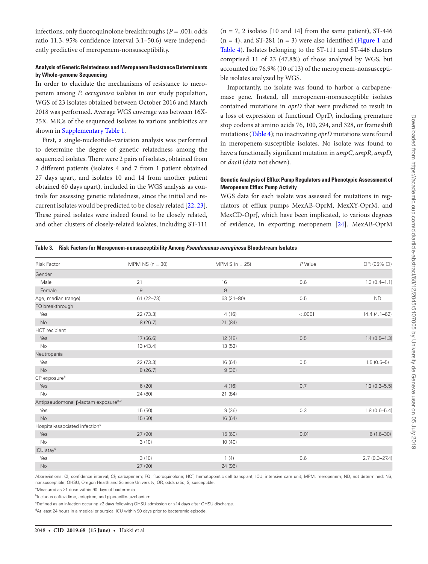infections, only fluoroquinolone breakthroughs (*P* = .001; odds ratio 11.3, 95% confidence interval 3.1–50.6) were independently predictive of meropenem-nonsusceptibility.

## **Analysis of Genetic Relatedness and Meropenem Resistance Determinants by Whole-genome Sequencing**

In order to elucidate the mechanisms of resistance to meropenem among *P. aeruginosa* isolates in our study population, WGS of 23 isolates obtained between October 2016 and March 2018 was performed. Average WGS coverage was between 16X-25X. MICs of the sequenced isolates to various antibiotics are shown in Supplementary Table 1.

First, a single-nucleotide–variation analysis was performed to determine the degree of genetic relatedness among the sequenced isolates. There were 2 pairs of isolates, obtained from 2 different patients (isolates 4 and 7 from 1 patient obtained 27 days apart, and isolates 10 and 14 from another patient obtained 60 days apart), included in the WGS analysis as controls for assessing genetic relatedness, since the initial and recurrent isolates would be predicted to be closely related [22, 23]. These paired isolates were indeed found to be closely related, and other clusters of closely-related isolates, including ST-111

 $(n = 7, 2 \text{ isolates } [10 \text{ and } 14]$  from the same patient), ST-446  $(n = 4)$ , and ST-281  $(n = 3)$  were also identified (Figure 1 and Table 4). Isolates belonging to the ST-111 and ST-446 clusters comprised 11 of 23 (47.8%) of those analyzed by WGS, but accounted for 76.9% (10 of 13) of the meropenem-nonsusceptible isolates analyzed by WGS.

Importantly, no isolate was found to harbor a carbapenemase gene. Instead, all meropenem-nonsusceptible isolates contained mutations in *oprD* that were predicted to result in a loss of expression of functional OprD, including premature stop codons at amino acids 76, 100, 294, and 328, or frameshift mutations (Table 4); no inactivating *oprD* mutations were found in meropenem-susceptible isolates. No isolate was found to have a functionally significant mutation in *ampC*, *ampR*, *ampD*, or *dacB* (data not shown).

## **Genetic Analysis of Efflux Pump Regulators and Phenotypic Assessment of Meropenem Efflux Pump Activity**

WGS data for each isolate was assessed for mutations in regulators of efflux pumps MexAB-OprM, MexXY-OprM, and MexCD-OprJ, which have been implicated, to various degrees of evidence, in exporting meropenem [24]. MexAB-OprM

|  |  |  | Table 3. Risk Factors for Meropenem-nonsusceptibility Among Pseudomonas aeruginosa Bloodstream Isolates |  |
|--|--|--|---------------------------------------------------------------------------------------------------------|--|
|--|--|--|---------------------------------------------------------------------------------------------------------|--|

| <b>Risk Factor</b>                               | MPM $NS (n = 30)$ | MPM $S(n = 25)$ | P Value | OR (95% CI)       |
|--------------------------------------------------|-------------------|-----------------|---------|-------------------|
| Gender                                           |                   |                 |         |                   |
| Male                                             | 21                | 16              | 0.6     | $1.3(0.4 - 4.1)$  |
| Female                                           | $\mathsf 9$       | $\mathsf{9}$    |         |                   |
| Age, median (range)                              | $61(22 - 73)$     | 63 (21-80)      | 0.5     | <b>ND</b>         |
| FQ breakthrough                                  |                   |                 |         |                   |
| Yes                                              | 22 (73.3)         | 4(16)           | < .0001 | $14.4(4.1 - 62)$  |
| No                                               | 8(26.7)           | 21 (84)         |         |                   |
| <b>HCT</b> recipient                             |                   |                 |         |                   |
| Yes                                              | 17 (56.6)         | 12 (48)         | 0.5     | $1.4(0.5 - 4.3)$  |
| No                                               | 13 (43.4)         | 13 (52)         |         |                   |
| Neutropenia                                      |                   |                 |         |                   |
| Yes                                              | 22 (73.3)         | 16 (64)         | 0.5     | $1.5(0.5-5)$      |
| <b>No</b>                                        | 8(26.7)           | 9(36)           |         |                   |
| CP exposure <sup>a</sup>                         |                   |                 |         |                   |
| Yes                                              | 6(20)             | 4(16)           | 0.7     | $1.2(0.3 - 5.5)$  |
| No                                               | 24 (80)           | 21 (84)         |         |                   |
| Antipseudomonal β-lactam exposure <sup>a,b</sup> |                   |                 |         |                   |
| Yes                                              | 15 (50)           | 9(36)           | 0.3     | $1.8(0.6 - 5.4)$  |
| <b>No</b>                                        | 15(50)            | 16 (64)         |         |                   |
| Hospital-associated infection <sup>c</sup>       |                   |                 |         |                   |
| Yes                                              | 27 (90)           | 15 (60)         | 0.01    | $6(1.6 - 30)$     |
| No                                               | 3(10)             | 10(40)          |         |                   |
| ICU stay <sup>d</sup>                            |                   |                 |         |                   |
| Yes                                              | 3(10)             | 1(4)            | 0.6     | $2.7(0.3 - 27.4)$ |
| <b>No</b>                                        | 27 (90)           | 24 (96)         |         |                   |

Abbreviations: CI, confidence interval; CP, carbapenem; FQ, fluoroquinolone; HCT, hematopoietic cell transplant; ICU, intensive care unit; MPM, meropenem; ND, not determined; NS, nonsusceptible; OHSU, Oregon Health and Science University; OR, odds ratio; S, susceptible.

<sup>a</sup>Measured as ≥1 dose within 90 days of bacteremia.

<sup>b</sup>Includes ceftazidime, cefepime, and piperacillin-tazobactam.

c Defined as an infection occuring ≥3 days following OHSU admission or ≤14 days after OHSU discharge.

<sup>d</sup>At least 24 hours in a medical or surgical ICU within 90 days prior to bacteremic episode.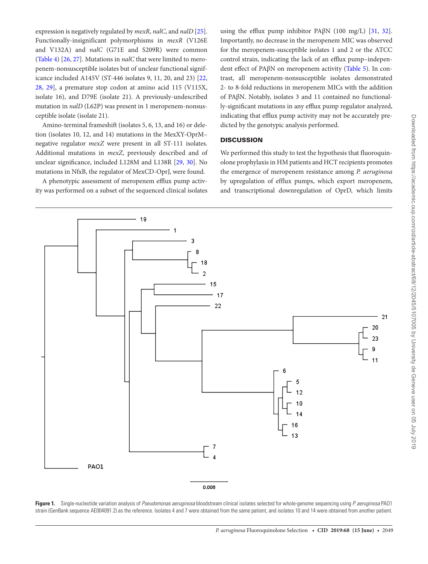expression is negatively regulated by *mexR*, *nalC*, and *nalD* [25]. Functionally-insignificant polymorphisms in *mexR* (V126E and V132A) and *nalC* (G71E and S209R) were common (Table 4) [26, 27]. Mutations in *nalC* that were limited to meropenem-nonsusceptible isolates but of unclear functional significance included A145V (ST-446 isolates 9, 11, 20, and 23) [22, 28, 29], a premature stop codon at amino acid 115 (V115X, isolate 16), and D79E (isolate 21). A previously-undescribed mutation in *nalD* (L62P) was present in 1 meropenem-nonsusceptible isolate (isolate 21).

Amino-terminal frameshift (isolates 5, 6, 13, and 16) or deletion (isolates 10, 12, and 14) mutations in the MexXY-OprM– negative regulator *mexZ* were present in all ST-111 isolates. Additional mutations in *mexZ*, previously described and of unclear significance, included L128M and L138R [29, 30]. No mutations in NfxB, the regulator of MexCD-OprJ, were found.

A phenotypic assessment of meropenem efflux pump activity was performed on a subset of the sequenced clinical isolates

using the efflux pump inhibitor PA $\beta$ N (100 mg/L) [31, 32]. Importantly, no decrease in the meropenem MIC was observed for the meropenem-susceptible isolates 1 and 2 or the ATCC control strain, indicating the lack of an efflux pump–independent effect of PAβN on meropenem activity (Table 5). In contrast, all meropenem-nonsusceptible isolates demonstrated 2- to 8-fold reductions in meropenem MICs with the addition of PAβN. Notably, isolates 3 and 11 contained no functionally-significant mutations in any efflux pump regulator analyzed, indicating that efflux pump activity may not be accurately predicted by the genotypic analysis performed.

## **DISCUSSION**

We performed this study to test the hypothesis that fluoroquinolone prophylaxis in HM patients and HCT recipients promotes the emergence of meropenem resistance among *P. aeruginosa* by upregulation of efflux pumps, which export meropenem, and transcriptional downregulation of OprD, which limits



**Figure 1.** Single-nucleotide variation analysis of *Pseudomonas aeruginosa* bloodstream clinical isolates selected for whole-genome sequencing using *P. aeruginosa* PAO1 strain (GenBank sequence AE004091.2) as the reference. Isolates 4 and 7 were obtained from the same patient, and isolates 10 and 14 were obtained from another patient.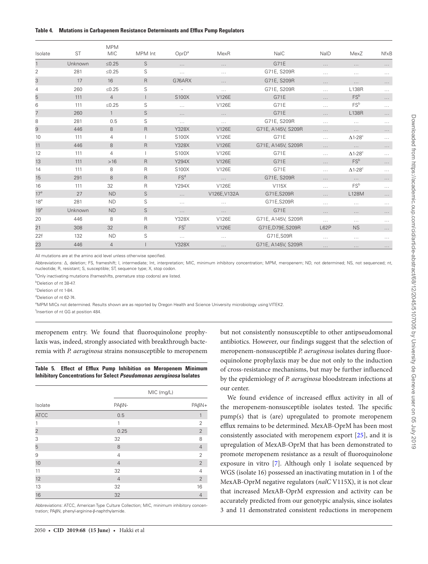| Isolate         | <b>ST</b> | <b>MPM</b><br><b>MIC</b> | MPM Int     | $OprD^a$                 | MexR         | <b>NaIC</b>        | NaID     | MexZ                        | <b>NfxB</b> |
|-----------------|-----------|--------------------------|-------------|--------------------------|--------------|--------------------|----------|-----------------------------|-------------|
|                 | Unknown   | $≤0.25$                  | S           | $\ldots$ .               | $\cdots$     | G71E               | $\cdots$ | $\cdots$                    | $\cdots$    |
| 2               | 281       | $≤0.25$                  | S           | $\dots$                  | $\cdots$     | G71E, S209R        | $\cdots$ | $\cdots$                    | $\cdots$    |
| 3               | 17        | 16                       | $\mathsf R$ | G76ARX                   | $\cdots$     | G71E, S209R        | $\cdots$ | $\cdots$                    | $\cdots$    |
| 4               | 260       | $≤0.25$                  | S           | $\overline{\phantom{a}}$ | $\cdots$     | G71E, S209R        | $\cdots$ | L138R                       | $\ldots$    |
| 5               | 111       | $\overline{4}$           |             | S100X                    | V126E        | G71E               | $\cdots$ | FS <sup>b</sup>             | $\ldots$ .  |
| 6               | 111       | $≤0.25$                  | S           | $\cdots$                 | V126E        | G71E               | $\cdots$ | FS <sup>b</sup>             | $\ldots$    |
| 7               | 260       | $\mathbf{1}$             | S           | $\cdots$                 | $\cdots$     | G71E               | $\cdots$ | <b>L138R</b>                | $\cdots$    |
| 8               | 281       | 0.5                      | S           | $\ldots$ .               | $\cdots$     | G71E, S209R        | $\cdots$ | $\cdots$                    | $\ldots$    |
| 9               | 446       | 8                        | $\mathsf R$ | <b>Y328X</b>             | V126E        | G71E, A145V, S209R | $\cdots$ | $\cdots$                    | $\cdots$    |
| 10              | 111       | 4                        |             | S100X                    | V126E        | G71E               | $\cdots$ | $\Delta$ 1-28 $\textdegree$ | $\ldots$    |
| 11              | 446       | 8                        | R.          | <b>Y328X</b>             | V126E        | G71E, A145V, S209R | $\cdots$ | $\cdots$                    | $\cdots$    |
| 12              | 111       | 4                        |             | S100X                    | V126E        | G71E               | $\cdots$ | $\Delta$ 1-28 $\textdegree$ | $\ldots$    |
| 13              | 111       | $>16$                    | R.          | Y294X                    | V126E        | G71E               | $\cdots$ | FS <sup>b</sup>             | $\cdots$    |
| 14              | 111       | 8                        | R           | S100X                    | V126E        | G71E               | $\cdots$ | $\Delta$ 1-28 $\textdegree$ | $\cdots$    |
| 15              | 291       | 8                        | R.          | FS <sup>d</sup>          | $\cdots$     | G71E, S209R        | $\cdots$ | $\cdots$                    | $\cdots$    |
| 16              | 111       | 32                       | R           | Y294X                    | V126E        | V115X              | $\cdots$ | FS <sup>b</sup>             | $\ldots$    |
| 17 <sup>e</sup> | 27        | <b>ND</b>                | S           | $\cdots$                 | V126E, V132A | G71E, S209R        | $\cdots$ | L128M                       | $\cdots$    |
| 18 <sup>e</sup> | 281       | <b>ND</b>                | S           | $\cdots$                 | $\cdots$     | G71E, S209R        | $\cdots$ | $\cdots$                    | $\ldots$    |
| 19 <sup>e</sup> | Unknown   | <b>ND</b>                | S           | $\cdots$                 | $\cdots$     | G71E               | $\cdots$ | $\cdots$                    | $\cdots$    |
| 20              | 446       | 8                        | R           | Y328X                    | V126E        | G71E, A145V, S209R | .        | $\cdots$                    | $\ldots$    |
| 21              | 308       | 32                       | R.          | FS <sup>f</sup>          | V126E        | G71E, D79E, S209R  | L62P     | <b>NS</b>                   | $\cdots$    |
| 22f             | 132       | <b>ND</b>                | S           | $\dots$                  | $\cdots$     | G71E, S09R         | $\cdots$ | $\cdots$                    | $\cdots$    |
| 23              | 446       | $\overline{4}$           |             | <b>Y328X</b>             | $\cdots$     | G71E, A145V, S209R | $\cdots$ | $\cdots$                    | $\cdots$    |

All mutations are at the amino acid level unless otherwise specified.

Abbreviations: ∆, deletion; FS, frameshift; I, intermediate; Int, interpretation; MIC, minimum inhibitory concentration; MPM, meropenem; ND, not determined; NS, not sequenced; nt, nucleotide; R, resistant; S, susceptible; ST, sequence type; X, stop codon.

<sup>a</sup>Only inactivating mutations (frameshifts, premature stop codons) are listed.

b Deletion of nt 38-47.

c Deletion of nt 1-84.

d Deletion of nt 62-74.

e MPM MICs not determined. Results shown are as reported by Oregon Health and Science University microbiology using VITEK2.

f Insertion of nt GG at position 484.

meropenem entry. We found that fluoroquinolone prophylaxis was, indeed, strongly associated with breakthrough bacteremia with *P. aeruginosa* strains nonsusceptible to meropenem

**Table 5. Effect of Efflux Pump Inhibition on Meropenem Minimum Inhibitory Concentrations for Select** *Pseudomonas aeruginosa* **Isolates**

|                | MIC (mg/L)     |                |
|----------------|----------------|----------------|
| Isolate        | $PA\beta N-$   | $PA\beta N+$   |
| <b>ATCC</b>    | 0.5            | 1              |
| 1              | 1              | $\overline{2}$ |
| $\overline{2}$ | 0.25           | $\overline{2}$ |
| 3              | 32             | 8              |
| 5              | 8              | $\overline{4}$ |
| 9              | $\overline{4}$ | $\overline{2}$ |
| 10             | $\overline{4}$ | $\overline{2}$ |
| 11             | 32             | $\overline{4}$ |
| 12             | $\overline{4}$ | $\overline{2}$ |
| 13             | 32             | 16             |
| 16             | 32             | $\overline{4}$ |

Abbreviations: ATCC, American Type Culture Collection; MIC, minimum inhibitory concentration; PAβN, phenyl-arginine-β-naphthylamide.

2050 • **CID 2019:68 (15 June)** • Hakki et al

but not consistently nonsusceptible to other antipseudomonal antibiotics. However, our findings suggest that the selection of meropenem-nonsusceptible *P. aeruginosa* isolates during fluoroquinolone prophylaxis may be due not only to the induction of cross-resistance mechanisms, but may be further influenced by the epidemiology of *P. aeruginosa* bloodstream infections at our center.

We found evidence of increased efflux activity in all of the meropenem-nonsusceptible isolates tested. The specific pump(s) that is (are) upregulated to promote meropenem efflux remains to be determined. MexAB-OprM has been most consistently associated with meropenem export [25], and it is upregulation of MexAB-OprM that has been demonstrated to promote meropenem resistance as a result of fluoroquinolone exposure in vitro [7]. Although only 1 isolate sequenced by WGS (isolate 16) possessed an inactivating mutation in 1 of the MexAB-OprM negative regulators (*nalC* V115X), it is not clear that increased MexAB-OprM expression and activity can be accurately predicted from our genotypic analysis, since isolates 3 and 11 demonstrated consistent reductions in meropenem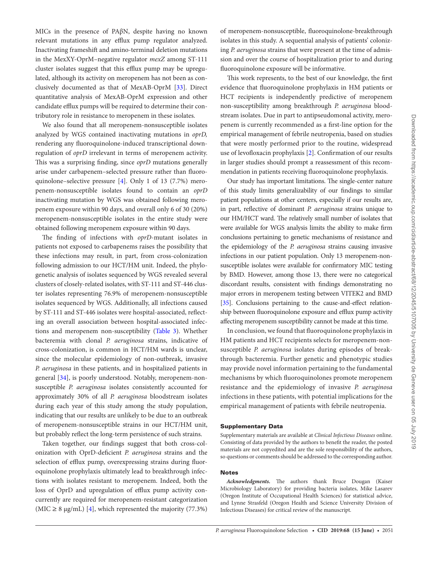MICs in the presence of PAβN, despite having no known relevant mutations in any efflux pump regulator analyzed. Inactivating frameshift and amino-terminal deletion mutations in the MexXY-OprM–negative regulator *mexZ* among ST-111 cluster isolates suggest that this efflux pump may be upregulated, although its activity on meropenem has not been as conclusively documented as that of MexAB-OprM [33]. Direct quantitative analysis of MexAB-OprM expression and other candidate efflux pumps will be required to determine their contributory role in resistance to meropenem in these isolates.

We also found that all meropenem-nonsusceptible isolates analyzed by WGS contained inactivating mutations in *oprD,* rendering any fluoroquinolone-induced transcriptional downregulation of *oprD* irrelevant in terms of meropenem activity. This was a surprising finding, since *oprD* mutations generally arise under carbapenem–selected pressure rather than fluoroquinolone–selective pressure [4]. Only 1 of 13 (7.7%) meropenem-nonsusceptible isolates found to contain an *oprD* inactivating mutation by WGS was obtained following meropenem exposure within 90 days, and overall only 6 of 30 (20%) meropenem-nonsusceptible isolates in the entire study were obtained following meropenem exposure within 90 days.

The finding of infections with *oprD*-mutant isolates in patients not exposed to carbapenems raises the possibility that these infections may result, in part, from cross-colonization following admission to our HCT/HM unit. Indeed, the phylogenetic analysis of isolates sequenced by WGS revealed several clusters of closely-related isolates, with ST-111 and ST-446 cluster isolates representing 76.9% of meropenem-nonsusceptible isolates sequenced by WGS. Additionally, all infections caused by ST-111 and ST-446 isolates were hospital-associated, reflecting an overall association between hospital-associated infections and meropenem non-susceptibility (Table 3). Whether bacteremia with clonal *P. aeruginosa* strains, indicative of cross-colonization, is common in HCT/HM wards is unclear, since the molecular epidemiology of non-outbreak, invasive *P. aeruginosa* in these patients, and in hospitalized patients in general [34], is poorly understood. Notably, meropenem-nonsusceptible *P. aeruginosa* isolates consistently accounted for approximately 30% of all *P. aeruginosa* bloodstream isolates during each year of this study among the study population, indicating that our results are unlikely to be due to an outbreak of meropenem-nonsusceptible strains in our HCT/HM unit, but probably reflect the long-term persistence of such strains.

Taken together, our findings suggest that both cross-colonization with OprD-deficient *P. aeruginosa* strains and the selection of efflux pump, overexpressing strains during fluoroquinolone prophylaxis ultimately lead to breakthrough infections with isolates resistant to meropenem. Indeed, both the loss of OprD and upregulation of efflux pump activity concurrently are required for meropenem-resistant categorization (MIC  $\geq$  8 µg/mL) [4], which represented the majority (77.3%) of meropenem-nonsusceptible, fluoroquinolone-breakthrough isolates in this study. A sequential analysis of patients' colonizing *P. aeruginosa* strains that were present at the time of admission and over the course of hospitalization prior to and during fluoroquinolone exposure will be informative.

This work represents, to the best of our knowledge, the first evidence that fluoroquinolone prophylaxis in HM patients or HCT recipients is independently predictive of meropenem non-susceptibility among breakthrough *P. aeruginosa* bloodstream isolates. Due in part to antipseudomonal activity, meropenem is currently recommended as a first-line option for the empirical management of febrile neutropenia, based on studies that were mostly performed prior to the routine, widespread use of levofloxacin prophylaxis [2]. Confirmation of our results in larger studies should prompt a reassessment of this recommendation in patients receiving fluoroquinolone prophylaxis.

Our study has important limitations. The single-center nature of this study limits generalizability of our findings to similar patient populations at other centers, especially if our results are, in part, reflective of dominant *P. aeruginosa* strains unique to our HM/HCT ward. The relatively small number of isolates that were available for WGS analysis limits the ability to make firm conclusions pertaining to genetic mechanisms of resistance and the epidemiology of the *P. aeruginosa* strains causing invasive infections in our patient population. Only 13 meropenem-nonsusceptible isolates were available for confirmatory MIC testing by BMD. However, among those 13, there were no categorical discordant results, consistent with findings demonstrating no major errors in meropenem testing between VITEK2 and BMD [35]. Conclusions pertaining to the cause-and-effect relationship between fluoroquinolone exposure and efflux pump activity affecting meropenem susceptibility cannot be made at this time.

In conclusion, we found that fluoroquinolone prophylaxis in HM patients and HCT recipients selects for meropenem-nonsusceptible *P. aeruginosa* isolates during episodes of breakthrough bacteremia. Further genetic and phenotypic studies may provide novel information pertaining to the fundamental mechanisms by which fluoroquinolones promote meropenem resistance and the epidemiology of invasive *P. aeruginosa* infections in these patients, with potential implications for the empirical management of patients with febrile neutropenia.

### Supplementary Data

Supplementary materials are available at *Clinical Infectious Diseases* online. Consisting of data provided by the authors to benefit the reader, the posted materials are not copyedited and are the sole responsibility of the authors, so questions or comments should be addressed to the corresponding author.

#### **Notes**

*Acknowledgments.* The authors thank Bruce Dougan (Kaiser Microbiology Laboratory) for providing bacteria isolates, Mike Lasarev (Oregon Institute of Occupational Health Sciences) for statistical advice, and Lynne Strasfeld (Oregon Health and Science University Division of Infectious Diseases) for critical review of the manuscript.